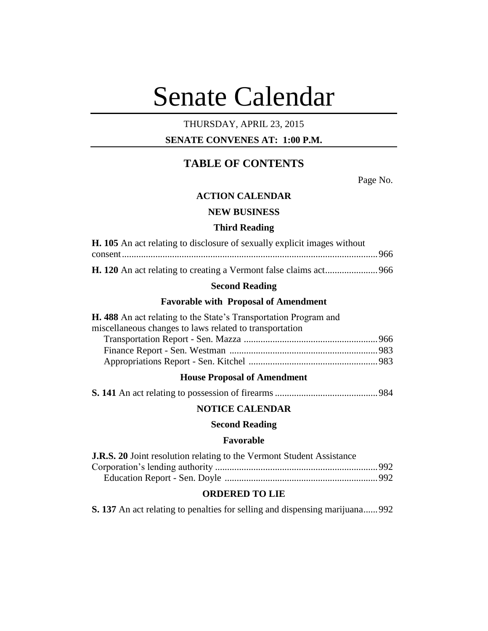# Senate Calendar

# THURSDAY, APRIL 23, 2015

## **SENATE CONVENES AT: 1:00 P.M.**

# **TABLE OF CONTENTS**

Page No.

## **ACTION CALENDAR**

## **NEW BUSINESS**

#### **Third Reading**

| <b>H. 105</b> An act relating to disclosure of sexually explicit images without |  |
|---------------------------------------------------------------------------------|--|
|                                                                                 |  |
|                                                                                 |  |

## **Second Reading**

#### **Favorable with Proposal of Amendment**

| H. 488 An act relating to the State's Transportation Program and |  |
|------------------------------------------------------------------|--|
| miscellaneous changes to laws related to transportation          |  |
|                                                                  |  |
|                                                                  |  |
|                                                                  |  |
|                                                                  |  |

## **House Proposal of Amendment**

|--|--|--|--|--|--|--|--|--|--|

## **NOTICE CALENDAR**

## **Second Reading**

## **Favorable**

| <b>J.R.S. 20</b> Joint resolution relating to the Vermont Student Assistance |  |
|------------------------------------------------------------------------------|--|
|                                                                              |  |
|                                                                              |  |

## **ORDERED TO LIE**

**S. 137** An act relating to penalties for selling and dispensing marijuana......992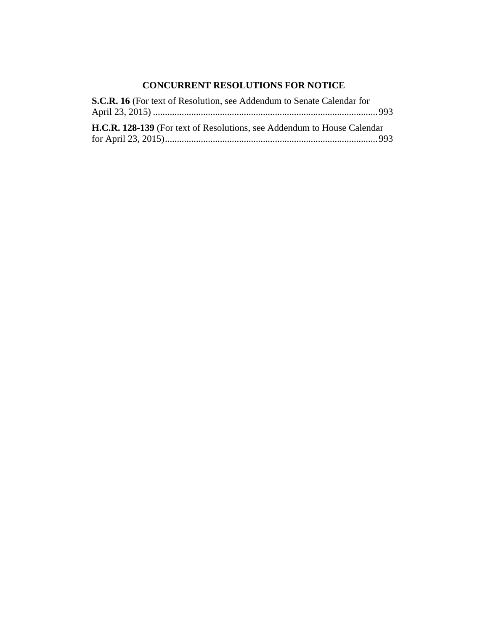## **CONCURRENT RESOLUTIONS FOR NOTICE**

| S.C.R. 16 (For text of Resolution, see Addendum to Senate Calendar for          |  |
|---------------------------------------------------------------------------------|--|
|                                                                                 |  |
| <b>H.C.R. 128-139</b> (For text of Resolutions, see Addendum to House Calendar) |  |
|                                                                                 |  |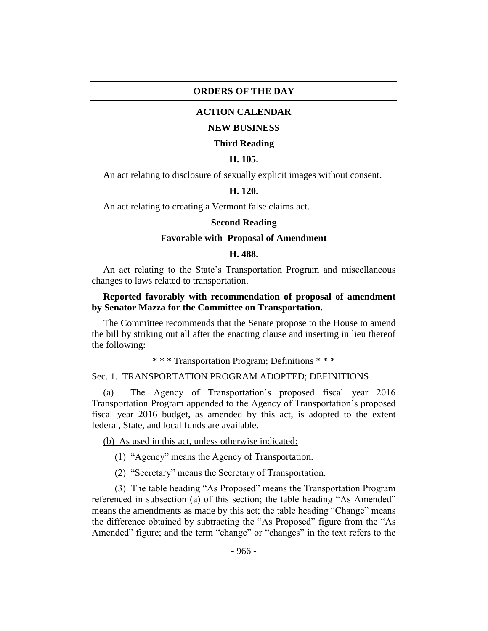#### **ORDERS OF THE DAY**

#### **ACTION CALENDAR**

#### **NEW BUSINESS**

#### **Third Reading**

#### **H. 105.**

An act relating to disclosure of sexually explicit images without consent.

#### **H. 120.**

An act relating to creating a Vermont false claims act.

#### **Second Reading**

#### **Favorable with Proposal of Amendment**

#### **H. 488.**

An act relating to the State's Transportation Program and miscellaneous changes to laws related to transportation.

#### **Reported favorably with recommendation of proposal of amendment by Senator Mazza for the Committee on Transportation.**

The Committee recommends that the Senate propose to the House to amend the bill by striking out all after the enacting clause and inserting in lieu thereof the following:

\* \* \* Transportation Program; Definitions \* \* \*

#### Sec. 1. TRANSPORTATION PROGRAM ADOPTED; DEFINITIONS

(a) The Agency of Transportation's proposed fiscal year 2016 Transportation Program appended to the Agency of Transportation's proposed fiscal year 2016 budget, as amended by this act, is adopted to the extent federal, State, and local funds are available.

(b) As used in this act, unless otherwise indicated:

(1) "Agency" means the Agency of Transportation.

(2) "Secretary" means the Secretary of Transportation.

(3) The table heading "As Proposed" means the Transportation Program referenced in subsection (a) of this section; the table heading "As Amended" means the amendments as made by this act; the table heading "Change" means the difference obtained by subtracting the "As Proposed" figure from the "As Amended" figure; and the term "change" or "changes" in the text refers to the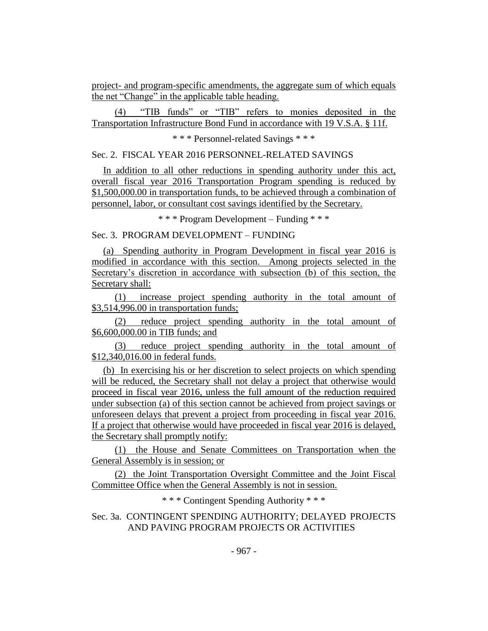project- and program-specific amendments, the aggregate sum of which equals the net "Change" in the applicable table heading.

(4) "TIB funds" or "TIB" refers to monies deposited in the Transportation Infrastructure Bond Fund in accordance with 19 V.S.A. § 11f.

\* \* \* Personnel-related Savings \* \* \*

Sec. 2. FISCAL YEAR 2016 PERSONNEL-RELATED SAVINGS

In addition to all other reductions in spending authority under this act, overall fiscal year 2016 Transportation Program spending is reduced by \$1,500,000.00 in transportation funds, to be achieved through a combination of personnel, labor, or consultant cost savings identified by the Secretary.

\* \* \* Program Development – Funding \* \* \*

Sec. 3. PROGRAM DEVELOPMENT – FUNDING

(a) Spending authority in Program Development in fiscal year 2016 is modified in accordance with this section. Among projects selected in the Secretary's discretion in accordance with subsection (b) of this section, the Secretary shall:

(1) increase project spending authority in the total amount of \$3,514,996.00 in transportation funds;

(2) reduce project spending authority in the total amount of \$6,600,000.00 in TIB funds; and

(3) reduce project spending authority in the total amount of \$12,340,016.00 in federal funds.

(b) In exercising his or her discretion to select projects on which spending will be reduced, the Secretary shall not delay a project that otherwise would proceed in fiscal year 2016, unless the full amount of the reduction required under subsection (a) of this section cannot be achieved from project savings or unforeseen delays that prevent a project from proceeding in fiscal year 2016. If a project that otherwise would have proceeded in fiscal year 2016 is delayed, the Secretary shall promptly notify:

(1) the House and Senate Committees on Transportation when the General Assembly is in session; or

(2) the Joint Transportation Oversight Committee and the Joint Fiscal Committee Office when the General Assembly is not in session.

\* \* \* Contingent Spending Authority \* \* \*

Sec. 3a. CONTINGENT SPENDING AUTHORITY; DELAYED PROJECTS AND PAVING PROGRAM PROJECTS OR ACTIVITIES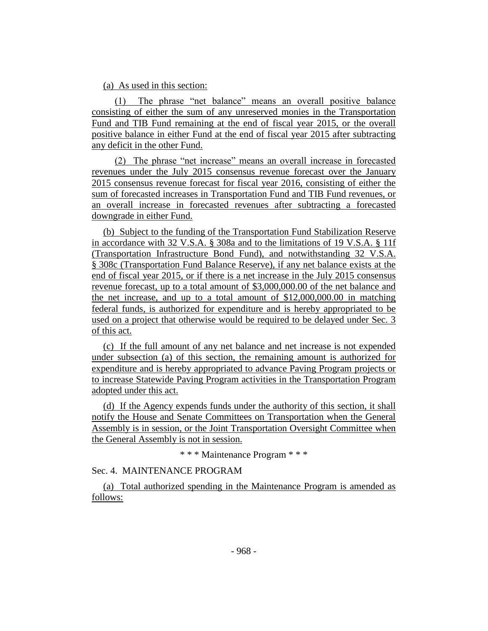## (a) As used in this section:

(1) The phrase "net balance" means an overall positive balance consisting of either the sum of any unreserved monies in the Transportation Fund and TIB Fund remaining at the end of fiscal year 2015, or the overall positive balance in either Fund at the end of fiscal year 2015 after subtracting any deficit in the other Fund.

(2) The phrase "net increase" means an overall increase in forecasted revenues under the July 2015 consensus revenue forecast over the January 2015 consensus revenue forecast for fiscal year 2016, consisting of either the sum of forecasted increases in Transportation Fund and TIB Fund revenues, or an overall increase in forecasted revenues after subtracting a forecasted downgrade in either Fund.

(b) Subject to the funding of the Transportation Fund Stabilization Reserve in accordance with 32 V.S.A. § 308a and to the limitations of 19 V.S.A. § 11f (Transportation Infrastructure Bond Fund), and notwithstanding 32 V.S.A. § 308c (Transportation Fund Balance Reserve), if any net balance exists at the end of fiscal year 2015, or if there is a net increase in the July 2015 consensus revenue forecast, up to a total amount of \$3,000,000.00 of the net balance and the net increase, and up to a total amount of \$12,000,000.00 in matching federal funds, is authorized for expenditure and is hereby appropriated to be used on a project that otherwise would be required to be delayed under Sec. 3 of this act.

(c) If the full amount of any net balance and net increase is not expended under subsection (a) of this section, the remaining amount is authorized for expenditure and is hereby appropriated to advance Paving Program projects or to increase Statewide Paving Program activities in the Transportation Program adopted under this act.

(d) If the Agency expends funds under the authority of this section, it shall notify the House and Senate Committees on Transportation when the General Assembly is in session, or the Joint Transportation Oversight Committee when the General Assembly is not in session.

\* \* \* Maintenance Program \* \* \*

Sec. 4. MAINTENANCE PROGRAM

(a) Total authorized spending in the Maintenance Program is amended as follows: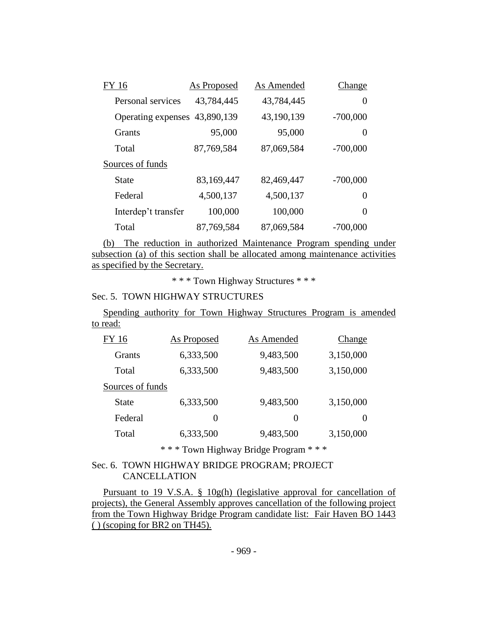| FY 16                         | <b>As Proposed</b> | As Amended | Change     |
|-------------------------------|--------------------|------------|------------|
| Personal services             | 43,784,445         | 43,784,445 | $\theta$   |
| Operating expenses 43,890,139 |                    | 43,190,139 | $-700,000$ |
| <b>Grants</b>                 | 95,000             | 95,000     | $\theta$   |
| Total                         | 87,769,584         | 87,069,584 | $-700,000$ |
| Sources of funds              |                    |            |            |
| State                         | 83,169,447         | 82,469,447 | $-700,000$ |
| Federal                       | 4,500,137          | 4,500,137  | $\Omega$   |
| Interdep't transfer           | 100,000            | 100,000    | $\Omega$   |
| Total                         | 87,769,584         | 87,069,584 | $-700,000$ |

(b) The reduction in authorized Maintenance Program spending under subsection (a) of this section shall be allocated among maintenance activities as specified by the Secretary.

\* \* \* Town Highway Structures \* \* \*

## Sec. 5. TOWN HIGHWAY STRUCTURES

Spending authority for Town Highway Structures Program is amended to read:

| FY 16            | As Proposed | As Amended    | Change    |
|------------------|-------------|---------------|-----------|
| <b>Grants</b>    | 6,333,500   | 9,483,500     | 3,150,000 |
| Total            | 6,333,500   | 9,483,500     | 3,150,000 |
| Sources of funds |             |               |           |
| <b>State</b>     | 6,333,500   | 9,483,500     | 3,150,000 |
| Federal          | $\theta$    | $\mathcal{O}$ | $\theta$  |
| Total            | 6,333,500   | 9,483,500     | 3,150,000 |

\* \* \* Town Highway Bridge Program \* \* \*

## Sec. 6. TOWN HIGHWAY BRIDGE PROGRAM; PROJECT CANCELLATION

Pursuant to 19 V.S.A. § 10g(h) (legislative approval for cancellation of projects), the General Assembly approves cancellation of the following project from the Town Highway Bridge Program candidate list: Fair Haven BO 1443 ( ) (scoping for BR2 on TH45).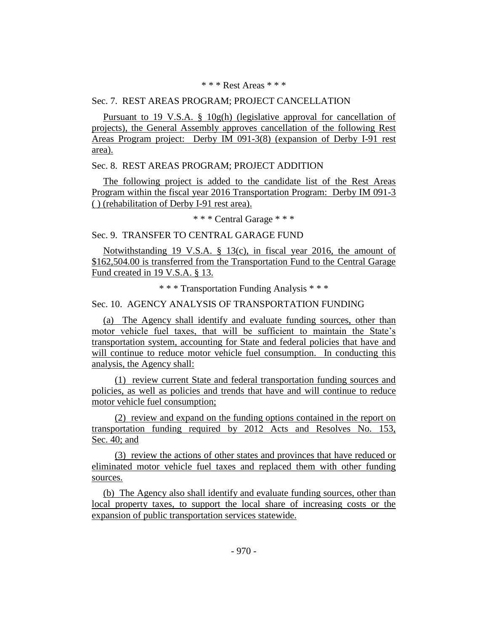#### \* \* \* Rest Areas \* \* \*

#### Sec. 7. REST AREAS PROGRAM; PROJECT CANCELLATION

Pursuant to 19 V.S.A. § 10g(h) (legislative approval for cancellation of projects), the General Assembly approves cancellation of the following Rest Areas Program project: Derby IM 091-3(8) (expansion of Derby I-91 rest area).

#### Sec. 8. REST AREAS PROGRAM; PROJECT ADDITION

The following project is added to the candidate list of the Rest Areas Program within the fiscal year 2016 Transportation Program: Derby IM 091-3 ( ) (rehabilitation of Derby I-91 rest area).

\* \* \* Central Garage \* \* \*

#### Sec. 9. TRANSFER TO CENTRAL GARAGE FUND

Notwithstanding 19 V.S.A. § 13(c), in fiscal year 2016, the amount of \$162,504.00 is transferred from the Transportation Fund to the Central Garage Fund created in 19 V.S.A. § 13.

\* \* \* Transportation Funding Analysis \* \* \*

## Sec. 10. AGENCY ANALYSIS OF TRANSPORTATION FUNDING

(a) The Agency shall identify and evaluate funding sources, other than motor vehicle fuel taxes, that will be sufficient to maintain the State's transportation system, accounting for State and federal policies that have and will continue to reduce motor vehicle fuel consumption. In conducting this analysis, the Agency shall:

(1) review current State and federal transportation funding sources and policies, as well as policies and trends that have and will continue to reduce motor vehicle fuel consumption;

(2) review and expand on the funding options contained in the report on transportation funding required by 2012 Acts and Resolves No. 153, Sec. 40; and

(3) review the actions of other states and provinces that have reduced or eliminated motor vehicle fuel taxes and replaced them with other funding sources.

(b) The Agency also shall identify and evaluate funding sources, other than local property taxes, to support the local share of increasing costs or the expansion of public transportation services statewide.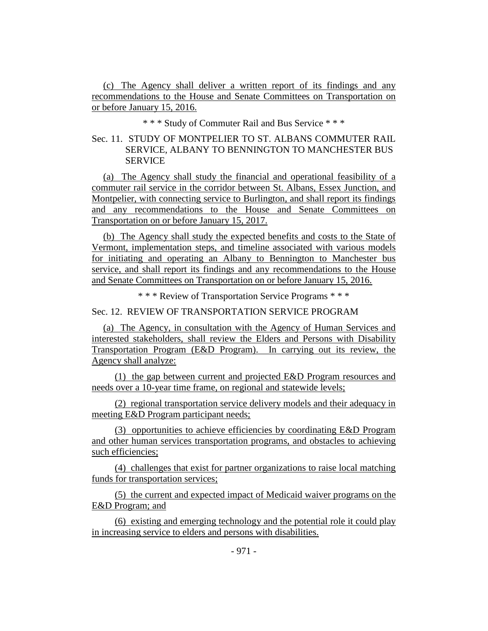(c) The Agency shall deliver a written report of its findings and any recommendations to the House and Senate Committees on Transportation on or before January 15, 2016.

\* \* \* Study of Commuter Rail and Bus Service \* \* \*

## Sec. 11. STUDY OF MONTPELIER TO ST. ALBANS COMMUTER RAIL SERVICE, ALBANY TO BENNINGTON TO MANCHESTER BUS **SERVICE**

(a) The Agency shall study the financial and operational feasibility of a commuter rail service in the corridor between St. Albans, Essex Junction, and Montpelier, with connecting service to Burlington, and shall report its findings and any recommendations to the House and Senate Committees on Transportation on or before January 15, 2017.

(b) The Agency shall study the expected benefits and costs to the State of Vermont, implementation steps, and timeline associated with various models for initiating and operating an Albany to Bennington to Manchester bus service, and shall report its findings and any recommendations to the House and Senate Committees on Transportation on or before January 15, 2016.

\* \* \* Review of Transportation Service Programs \* \* \*

Sec. 12. REVIEW OF TRANSPORTATION SERVICE PROGRAM

(a) The Agency, in consultation with the Agency of Human Services and interested stakeholders, shall review the Elders and Persons with Disability Transportation Program (E&D Program). In carrying out its review, the Agency shall analyze:

(1) the gap between current and projected E&D Program resources and needs over a 10-year time frame, on regional and statewide levels;

(2) regional transportation service delivery models and their adequacy in meeting E&D Program participant needs;

(3) opportunities to achieve efficiencies by coordinating E&D Program and other human services transportation programs, and obstacles to achieving such efficiencies;

(4) challenges that exist for partner organizations to raise local matching funds for transportation services;

(5) the current and expected impact of Medicaid waiver programs on the E&D Program; and

(6) existing and emerging technology and the potential role it could play in increasing service to elders and persons with disabilities.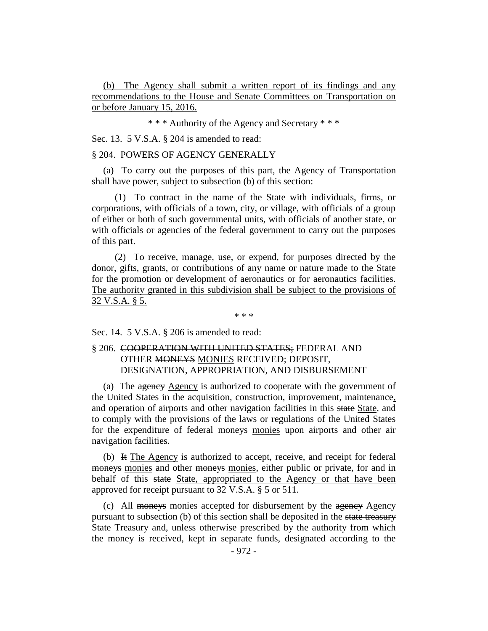(b) The Agency shall submit a written report of its findings and any recommendations to the House and Senate Committees on Transportation on or before January 15, 2016.

\* \* \* Authority of the Agency and Secretary \* \* \*

Sec. 13. 5 V.S.A. § 204 is amended to read:

## § 204. POWERS OF AGENCY GENERALLY

(a) To carry out the purposes of this part, the Agency of Transportation shall have power, subject to subsection (b) of this section:

(1) To contract in the name of the State with individuals, firms, or corporations, with officials of a town, city, or village, with officials of a group of either or both of such governmental units, with officials of another state, or with officials or agencies of the federal government to carry out the purposes of this part.

(2) To receive, manage, use, or expend, for purposes directed by the donor, gifts, grants, or contributions of any name or nature made to the State for the promotion or development of aeronautics or for aeronautics facilities. The authority granted in this subdivision shall be subject to the provisions of 32 V.S.A. § 5.

\* \* \*

Sec. 14. 5 V.S.A. § 206 is amended to read:

## § 206. COOPERATION WITH UNITED STATES; FEDERAL AND OTHER MONEYS MONIES RECEIVED; DEPOSIT, DESIGNATION, APPROPRIATION, AND DISBURSEMENT

(a) The agency Agency is authorized to cooperate with the government of the United States in the acquisition, construction, improvement, maintenance, and operation of airports and other navigation facilities in this state State, and to comply with the provisions of the laws or regulations of the United States for the expenditure of federal moneys monies upon airports and other air navigation facilities.

(b) It The Agency is authorized to accept, receive, and receipt for federal moneys monies and other moneys monies, either public or private, for and in behalf of this state State, appropriated to the Agency or that have been approved for receipt pursuant to 32 V.S.A. § 5 or 511.

(c) All moneys monies accepted for disbursement by the agency Agency pursuant to subsection (b) of this section shall be deposited in the state treasury State Treasury and, unless otherwise prescribed by the authority from which the money is received, kept in separate funds, designated according to the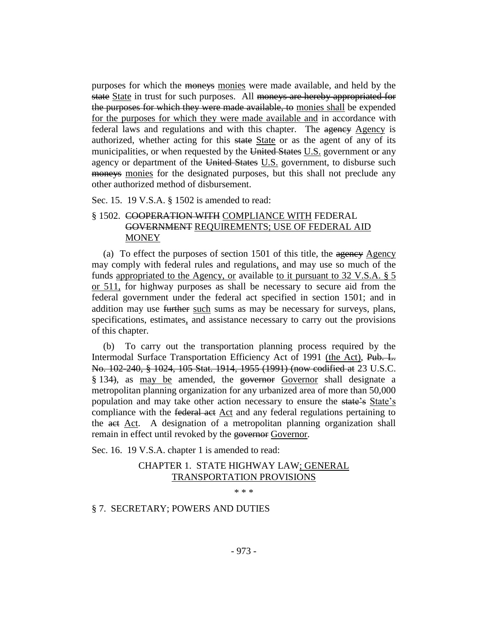purposes for which the moneys monies were made available, and held by the state State in trust for such purposes. All moneys are hereby appropriated for the purposes for which they were made available, to monies shall be expended for the purposes for which they were made available and in accordance with federal laws and regulations and with this chapter. The agency Agency is authorized, whether acting for this state State or as the agent of any of its municipalities, or when requested by the United States U.S. government or any agency or department of the United States U.S. government, to disburse such moneys monies for the designated purposes, but this shall not preclude any other authorized method of disbursement.

Sec. 15. 19 V.S.A. § 1502 is amended to read:

## § 1502. COOPERATION WITH COMPLIANCE WITH FEDERAL GOVERNMENT REQUIREMENTS; USE OF FEDERAL AID **MONEY**

(a) To effect the purposes of section  $1501$  of this title, the agency Agency may comply with federal rules and regulations, and may use so much of the funds appropriated to the Agency, or available to it pursuant to 32 V.S.A. § 5 or 511, for highway purposes as shall be necessary to secure aid from the federal government under the federal act specified in section 1501; and in addition may use further such sums as may be necessary for surveys, plans, specifications, estimates, and assistance necessary to carry out the provisions of this chapter.

(b) To carry out the transportation planning process required by the Intermodal Surface Transportation Efficiency Act of 1991 (the Act), Pub. L. No. 102-240, § 1024, 105 Stat. 1914, 1955 (1991) (now codified at 23 U.S.C. § 134), as may be amended, the governor Governor shall designate a metropolitan planning organization for any urbanized area of more than 50,000 population and may take other action necessary to ensure the state's State's compliance with the federal act Act and any federal regulations pertaining to the act Act. A designation of a metropolitan planning organization shall remain in effect until revoked by the governor Governor.

Sec. 16. 19 V.S.A. chapter 1 is amended to read:

## CHAPTER 1. STATE HIGHWAY LAW; GENERAL TRANSPORTATION PROVISIONS

\* \* \*

## § 7. SECRETARY; POWERS AND DUTIES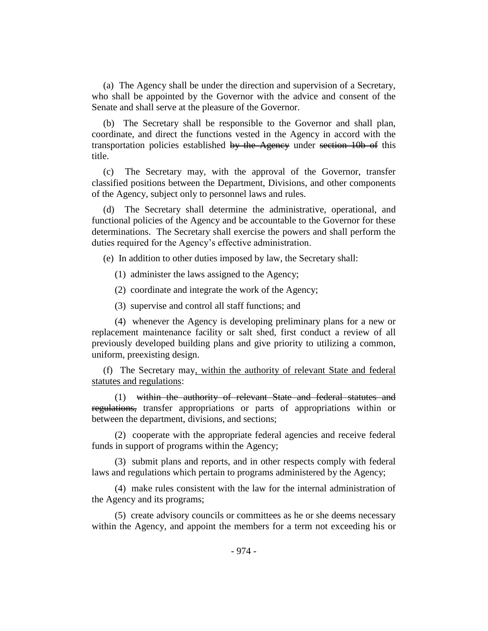(a) The Agency shall be under the direction and supervision of a Secretary, who shall be appointed by the Governor with the advice and consent of the Senate and shall serve at the pleasure of the Governor.

(b) The Secretary shall be responsible to the Governor and shall plan, coordinate, and direct the functions vested in the Agency in accord with the transportation policies established by the Agency under section 10b of this title.

(c) The Secretary may, with the approval of the Governor, transfer classified positions between the Department, Divisions, and other components of the Agency, subject only to personnel laws and rules.

(d) The Secretary shall determine the administrative, operational, and functional policies of the Agency and be accountable to the Governor for these determinations. The Secretary shall exercise the powers and shall perform the duties required for the Agency's effective administration.

(e) In addition to other duties imposed by law, the Secretary shall:

(1) administer the laws assigned to the Agency;

(2) coordinate and integrate the work of the Agency;

(3) supervise and control all staff functions; and

(4) whenever the Agency is developing preliminary plans for a new or replacement maintenance facility or salt shed, first conduct a review of all previously developed building plans and give priority to utilizing a common, uniform, preexisting design.

(f) The Secretary may, within the authority of relevant State and federal statutes and regulations:

(1) within the authority of relevant State and federal statutes and regulations, transfer appropriations or parts of appropriations within or between the department, divisions, and sections;

(2) cooperate with the appropriate federal agencies and receive federal funds in support of programs within the Agency;

(3) submit plans and reports, and in other respects comply with federal laws and regulations which pertain to programs administered by the Agency;

(4) make rules consistent with the law for the internal administration of the Agency and its programs;

(5) create advisory councils or committees as he or she deems necessary within the Agency, and appoint the members for a term not exceeding his or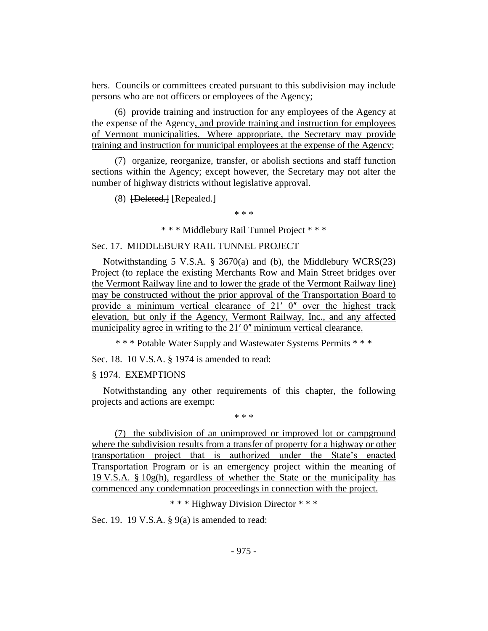hers. Councils or committees created pursuant to this subdivision may include persons who are not officers or employees of the Agency;

 $(6)$  provide training and instruction for  $\frac{a}{a}$  employees of the Agency at the expense of the Agency, and provide training and instruction for employees of Vermont municipalities. Where appropriate, the Secretary may provide training and instruction for municipal employees at the expense of the Agency;

(7) organize, reorganize, transfer, or abolish sections and staff function sections within the Agency; except however, the Secretary may not alter the number of highway districts without legislative approval.

(8) [Deleted.] [Repealed.]

\* \* \*

\* \* \* Middlebury Rail Tunnel Project \* \* \*

#### Sec. 17. MIDDLEBURY RAIL TUNNEL PROJECT

Notwithstanding 5 V.S.A. § 3670(a) and (b), the Middlebury WCRS(23) Project (to replace the existing Merchants Row and Main Street bridges over the Vermont Railway line and to lower the grade of the Vermont Railway line) may be constructed without the prior approval of the Transportation Board to provide a minimum vertical clearance of  $21'$  0" over the highest track elevation, but only if the Agency, Vermont Railway, Inc., and any affected municipality agree in writing to the 21' 0" minimum vertical clearance.

\* \* \* Potable Water Supply and Wastewater Systems Permits \* \* \*

Sec. 18. 10 V.S.A. § 1974 is amended to read:

#### § 1974. EXEMPTIONS

Notwithstanding any other requirements of this chapter, the following projects and actions are exempt:

\* \* \*

(7) the subdivision of an unimproved or improved lot or campground where the subdivision results from a transfer of property for a highway or other transportation project that is authorized under the State's enacted Transportation Program or is an emergency project within the meaning of 19 V.S.A.  $\S$  10g(h), regardless of whether the State or the municipality has commenced any condemnation proceedings in connection with the project.

\* \* \* Highway Division Director \* \* \*

Sec. 19. 19 V.S.A. § 9(a) is amended to read: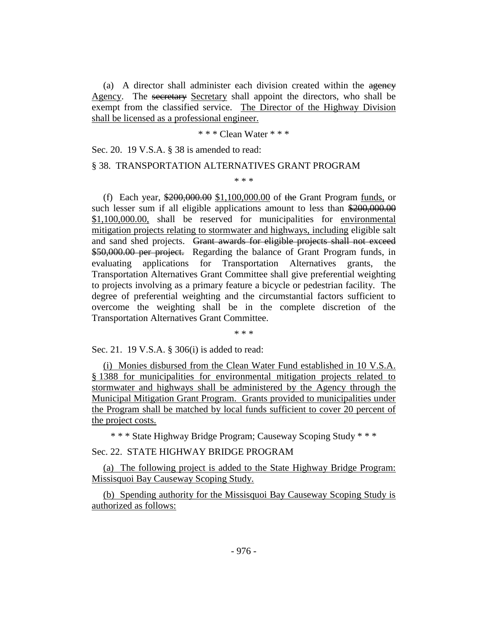(a) A director shall administer each division created within the agency Agency. The secretary Secretary shall appoint the directors, who shall be exempt from the classified service. The Director of the Highway Division shall be licensed as a professional engineer.

\* \* \* Clean Water \* \* \*

Sec. 20. 19 V.S.A. § 38 is amended to read:

#### § 38. TRANSPORTATION ALTERNATIVES GRANT PROGRAM

\* \* \*

(f) Each year, \$200,000.00 \$1,100,000.00 of the Grant Program funds, or such lesser sum if all eligible applications amount to less than \$200,000.00 \$1,100,000.00, shall be reserved for municipalities for environmental mitigation projects relating to stormwater and highways, including eligible salt and sand shed projects. Grant awards for eligible projects shall not exceed \$50,000.00 per project. Regarding the balance of Grant Program funds, in evaluating applications for Transportation Alternatives grants, the Transportation Alternatives Grant Committee shall give preferential weighting to projects involving as a primary feature a bicycle or pedestrian facility. The degree of preferential weighting and the circumstantial factors sufficient to overcome the weighting shall be in the complete discretion of the Transportation Alternatives Grant Committee.

\* \* \*

Sec. 21. 19 V.S.A. § 306(i) is added to read:

(i) Monies disbursed from the Clean Water Fund established in 10 V.S.A. § 1388 for municipalities for environmental mitigation projects related to stormwater and highways shall be administered by the Agency through the Municipal Mitigation Grant Program. Grants provided to municipalities under the Program shall be matched by local funds sufficient to cover 20 percent of the project costs.

\* \* \* State Highway Bridge Program; Causeway Scoping Study \* \* \*

Sec. 22. STATE HIGHWAY BRIDGE PROGRAM

(a) The following project is added to the State Highway Bridge Program: Missisquoi Bay Causeway Scoping Study.

(b) Spending authority for the Missisquoi Bay Causeway Scoping Study is authorized as follows: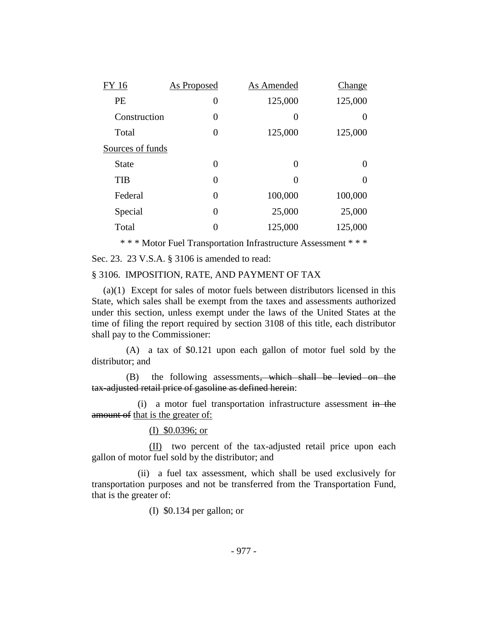| FY 16            | <b>As Proposed</b> | As Amended | Change  |
|------------------|--------------------|------------|---------|
| PE               | 0                  | 125,000    | 125,000 |
| Construction     | 0                  | 0          | 0       |
| Total            | 0                  | 125,000    | 125,000 |
| Sources of funds |                    |            |         |
| <b>State</b>     | 0                  | $\Omega$   | 0       |
| <b>TIB</b>       | $\theta$           | 0          | 0       |
| Federal          | 0                  | 100,000    | 100,000 |
| Special          | 0                  | 25,000     | 25,000  |
| Total            | 0                  | 125,000    | 125,000 |
|                  |                    |            |         |

\* \* \* Motor Fuel Transportation Infrastructure Assessment \* \* \*

Sec. 23. 23 V.S.A. § 3106 is amended to read:

#### § 3106. IMPOSITION, RATE, AND PAYMENT OF TAX

(a)(1) Except for sales of motor fuels between distributors licensed in this State, which sales shall be exempt from the taxes and assessments authorized under this section, unless exempt under the laws of the United States at the time of filing the report required by section 3108 of this title, each distributor shall pay to the Commissioner:

(A) a tax of \$0.121 upon each gallon of motor fuel sold by the distributor; and

(B) the following assessments, which shall be levied on the tax-adjusted retail price of gasoline as defined herein:

(i) a motor fuel transportation infrastructure assessment in the amount of that is the greater of:

## (I) \$0.0396; or

(II) two percent of the tax-adjusted retail price upon each gallon of motor fuel sold by the distributor; and

(ii) a fuel tax assessment, which shall be used exclusively for transportation purposes and not be transferred from the Transportation Fund, that is the greater of:

(I) \$0.134 per gallon; or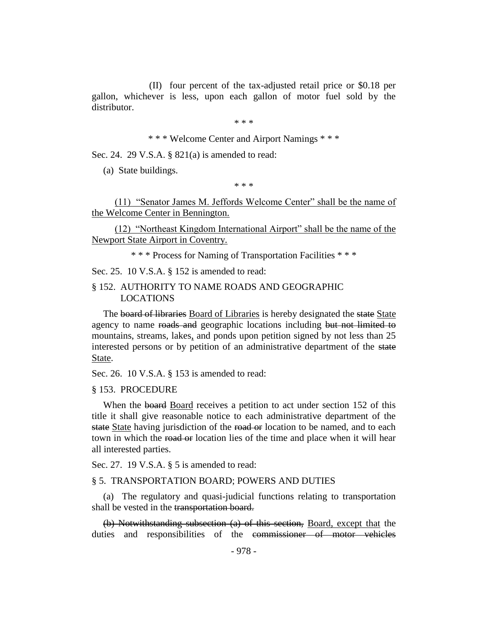(II) four percent of the tax-adjusted retail price or \$0.18 per gallon, whichever is less, upon each gallon of motor fuel sold by the distributor.

\* \* \*

\* \* \* Welcome Center and Airport Namings \* \* \*

Sec. 24. 29 V.S.A. § 821(a) is amended to read:

(a) State buildings.

\* \* \*

(11) "Senator James M. Jeffords Welcome Center" shall be the name of the Welcome Center in Bennington.

(12) "Northeast Kingdom International Airport" shall be the name of the Newport State Airport in Coventry.

\* \* \* Process for Naming of Transportation Facilities \* \* \*

Sec. 25. 10 V.S.A. § 152 is amended to read:

#### § 152. AUTHORITY TO NAME ROADS AND GEOGRAPHIC LOCATIONS

The board of libraries Board of Libraries is hereby designated the state State agency to name roads and geographic locations including but not limited to mountains, streams, lakes, and ponds upon petition signed by not less than 25 interested persons or by petition of an administrative department of the state State.

Sec. 26. 10 V.S.A. § 153 is amended to read:

#### § 153. PROCEDURE

When the board Board receives a petition to act under section 152 of this title it shall give reasonable notice to each administrative department of the state State having jurisdiction of the road or location to be named, and to each town in which the road or location lies of the time and place when it will hear all interested parties.

Sec. 27. 19 V.S.A. § 5 is amended to read:

#### § 5. TRANSPORTATION BOARD; POWERS AND DUTIES

(a) The regulatory and quasi-judicial functions relating to transportation shall be vested in the transportation board.

(b) Notwithstanding subsection (a) of this section, Board, except that the duties and responsibilities of the commissioner of motor vehicles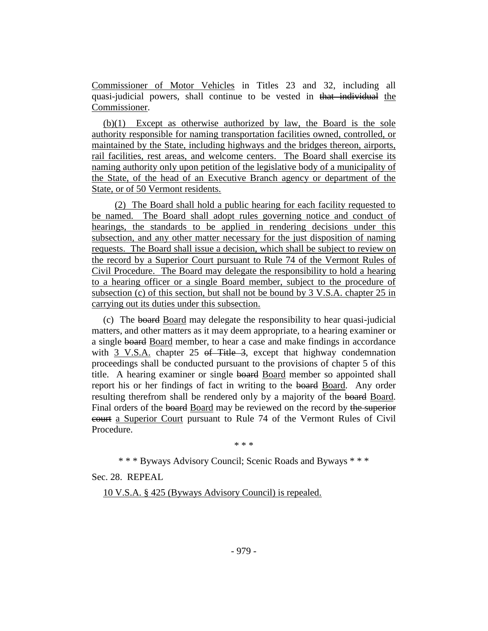Commissioner of Motor Vehicles in Titles 23 and 32, including all quasi-judicial powers, shall continue to be vested in that individual the Commissioner.

(b)(1) Except as otherwise authorized by law, the Board is the sole authority responsible for naming transportation facilities owned, controlled, or maintained by the State, including highways and the bridges thereon, airports, rail facilities, rest areas, and welcome centers. The Board shall exercise its naming authority only upon petition of the legislative body of a municipality of the State, of the head of an Executive Branch agency or department of the State, or of 50 Vermont residents.

(2) The Board shall hold a public hearing for each facility requested to be named. The Board shall adopt rules governing notice and conduct of hearings, the standards to be applied in rendering decisions under this subsection, and any other matter necessary for the just disposition of naming requests. The Board shall issue a decision, which shall be subject to review on the record by a Superior Court pursuant to Rule 74 of the Vermont Rules of Civil Procedure. The Board may delegate the responsibility to hold a hearing to a hearing officer or a single Board member, subject to the procedure of subsection (c) of this section, but shall not be bound by 3 V.S.A. chapter 25 in carrying out its duties under this subsection.

(c) The board Board may delegate the responsibility to hear quasi-judicial matters, and other matters as it may deem appropriate, to a hearing examiner or a single board Board member, to hear a case and make findings in accordance with 3 V.S.A. chapter 25 of Title 3, except that highway condemnation proceedings shall be conducted pursuant to the provisions of chapter 5 of this title. A hearing examiner or single board Board member so appointed shall report his or her findings of fact in writing to the board Board. Any order resulting therefrom shall be rendered only by a majority of the board Board. Final orders of the board Board may be reviewed on the record by the superior court a Superior Court pursuant to Rule 74 of the Vermont Rules of Civil Procedure.

\* \* \*

\* \* \* Byways Advisory Council; Scenic Roads and Byways \* \* \*

Sec. 28. REPEAL

10 V.S.A. § 425 (Byways Advisory Council) is repealed.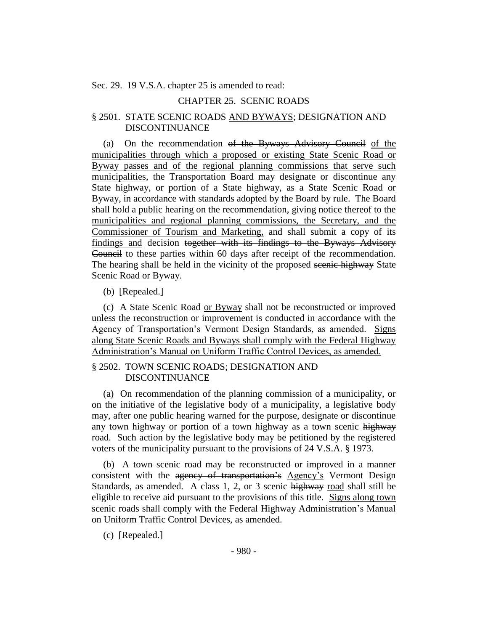Sec. 29. 19 V.S.A. chapter 25 is amended to read:

## CHAPTER 25. SCENIC ROADS

#### § 2501. STATE SCENIC ROADS AND BYWAYS; DESIGNATION AND DISCONTINUANCE

(a) On the recommendation of the Byways Advisory Council of the municipalities through which a proposed or existing State Scenic Road or Byway passes and of the regional planning commissions that serve such municipalities, the Transportation Board may designate or discontinue any State highway, or portion of a State highway, as a State Scenic Road or Byway, in accordance with standards adopted by the Board by rule. The Board shall hold a public hearing on the recommendation, giving notice thereof to the municipalities and regional planning commissions, the Secretary, and the Commissioner of Tourism and Marketing, and shall submit a copy of its findings and decision together with its findings to the Byways Advisory Council to these parties within 60 days after receipt of the recommendation. The hearing shall be held in the vicinity of the proposed seenic highway State Scenic Road or Byway.

(b) [Repealed.]

(c) A State Scenic Road or Byway shall not be reconstructed or improved unless the reconstruction or improvement is conducted in accordance with the Agency of Transportation's Vermont Design Standards, as amended. Signs along State Scenic Roads and Byways shall comply with the Federal Highway Administration's Manual on Uniform Traffic Control Devices, as amended.

#### § 2502. TOWN SCENIC ROADS; DESIGNATION AND DISCONTINUANCE

(a) On recommendation of the planning commission of a municipality, or on the initiative of the legislative body of a municipality, a legislative body may, after one public hearing warned for the purpose, designate or discontinue any town highway or portion of a town highway as a town scenic highway road. Such action by the legislative body may be petitioned by the registered voters of the municipality pursuant to the provisions of 24 V.S.A. § 1973.

(b) A town scenic road may be reconstructed or improved in a manner consistent with the agency of transportation's Agency's Vermont Design Standards, as amended. A class 1, 2, or 3 scenic highway road shall still be eligible to receive aid pursuant to the provisions of this title. Signs along town scenic roads shall comply with the Federal Highway Administration's Manual on Uniform Traffic Control Devices, as amended.

(c) [Repealed.]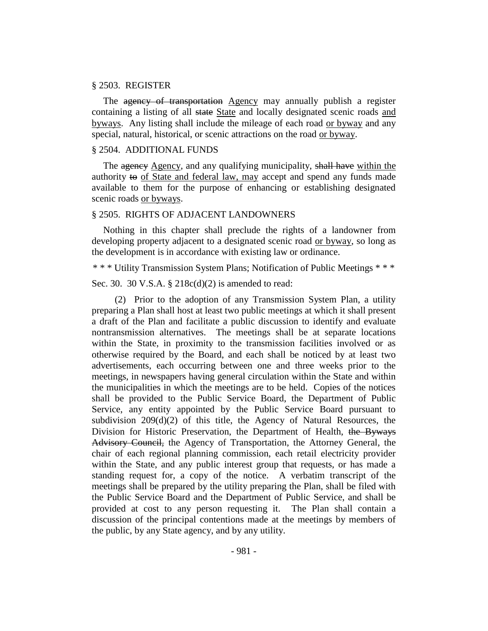#### § 2503. REGISTER

The agency of transportation Agency may annually publish a register containing a listing of all state State and locally designated scenic roads and byways. Any listing shall include the mileage of each road or byway and any special, natural, historical, or scenic attractions on the road or byway.

#### § 2504. ADDITIONAL FUNDS

The agency Agency, and any qualifying municipality, shall have within the authority to of State and federal law, may accept and spend any funds made available to them for the purpose of enhancing or establishing designated scenic roads or byways.

#### § 2505. RIGHTS OF ADJACENT LANDOWNERS

Nothing in this chapter shall preclude the rights of a landowner from developing property adjacent to a designated scenic road or byway, so long as the development is in accordance with existing law or ordinance.

\* \* \* Utility Transmission System Plans; Notification of Public Meetings \* \* \*

Sec. 30. 30 V.S.A. § 218c(d)(2) is amended to read:

(2) Prior to the adoption of any Transmission System Plan, a utility preparing a Plan shall host at least two public meetings at which it shall present a draft of the Plan and facilitate a public discussion to identify and evaluate nontransmission alternatives. The meetings shall be at separate locations within the State, in proximity to the transmission facilities involved or as otherwise required by the Board, and each shall be noticed by at least two advertisements, each occurring between one and three weeks prior to the meetings, in newspapers having general circulation within the State and within the municipalities in which the meetings are to be held. Copies of the notices shall be provided to the Public Service Board, the Department of Public Service, any entity appointed by the Public Service Board pursuant to subdivision 209(d)(2) of this title, the Agency of Natural Resources, the Division for Historic Preservation, the Department of Health, the Byways Advisory Council, the Agency of Transportation, the Attorney General, the chair of each regional planning commission, each retail electricity provider within the State, and any public interest group that requests, or has made a standing request for, a copy of the notice. A verbatim transcript of the meetings shall be prepared by the utility preparing the Plan, shall be filed with the Public Service Board and the Department of Public Service, and shall be provided at cost to any person requesting it. The Plan shall contain a discussion of the principal contentions made at the meetings by members of the public, by any State agency, and by any utility.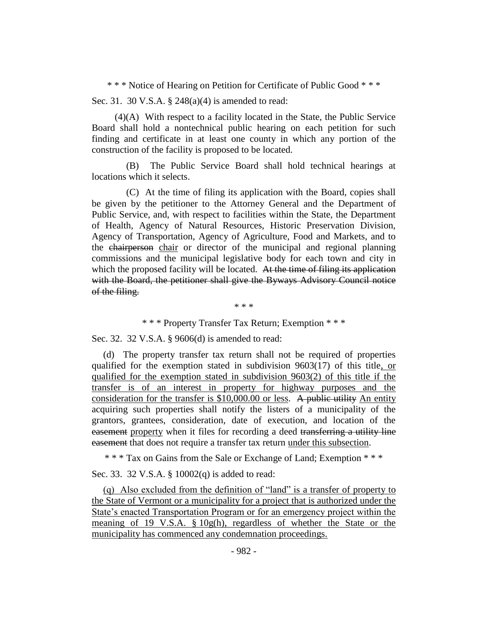\* \* \* Notice of Hearing on Petition for Certificate of Public Good \* \* \*

Sec. 31. 30 V.S.A. § 248(a)(4) is amended to read:

(4)(A) With respect to a facility located in the State, the Public Service Board shall hold a nontechnical public hearing on each petition for such finding and certificate in at least one county in which any portion of the construction of the facility is proposed to be located.

(B) The Public Service Board shall hold technical hearings at locations which it selects.

(C) At the time of filing its application with the Board, copies shall be given by the petitioner to the Attorney General and the Department of Public Service, and, with respect to facilities within the State, the Department of Health, Agency of Natural Resources, Historic Preservation Division, Agency of Transportation, Agency of Agriculture, Food and Markets, and to the chairperson chair or director of the municipal and regional planning commissions and the municipal legislative body for each town and city in which the proposed facility will be located. At the time of filing its application with the Board, the petitioner shall give the Byways Advisory Council notice of the filing.

\* \* \*

\* \* \* Property Transfer Tax Return; Exemption \* \* \*

Sec. 32. 32 V.S.A. § 9606(d) is amended to read:

(d) The property transfer tax return shall not be required of properties qualified for the exemption stated in subdivision 9603(17) of this title, or qualified for the exemption stated in subdivision 9603(2) of this title if the transfer is of an interest in property for highway purposes and the consideration for the transfer is \$10,000.00 or less. A public utility An entity acquiring such properties shall notify the listers of a municipality of the grantors, grantees, consideration, date of execution, and location of the easement property when it files for recording a deed transferring a utility line easement that does not require a transfer tax return under this subsection.

\* \* \* Tax on Gains from the Sale or Exchange of Land; Exemption \* \* \*

Sec. 33. 32 V.S.A. § 10002(q) is added to read:

(q) Also excluded from the definition of "land" is a transfer of property to the State of Vermont or a municipality for a project that is authorized under the State's enacted Transportation Program or for an emergency project within the meaning of 19 V.S.A. § 10g(h), regardless of whether the State or the municipality has commenced any condemnation proceedings.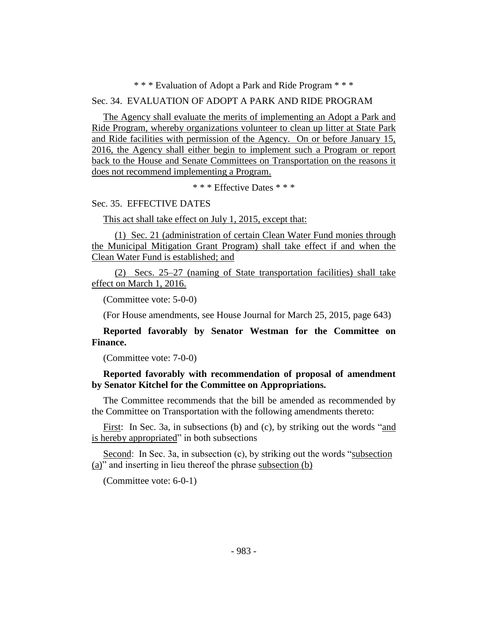## \* \* \* Evaluation of Adopt a Park and Ride Program \* \* \*

## Sec. 34. EVALUATION OF ADOPT A PARK AND RIDE PROGRAM

The Agency shall evaluate the merits of implementing an Adopt a Park and Ride Program, whereby organizations volunteer to clean up litter at State Park and Ride facilities with permission of the Agency. On or before January 15, 2016, the Agency shall either begin to implement such a Program or report back to the House and Senate Committees on Transportation on the reasons it does not recommend implementing a Program.

\* \* \* Effective Dates \* \* \*

## Sec. 35. EFFECTIVE DATES

This act shall take effect on July 1, 2015, except that:

(1) Sec. 21 (administration of certain Clean Water Fund monies through the Municipal Mitigation Grant Program) shall take effect if and when the Clean Water Fund is established; and

(2) Secs. 25–27 (naming of State transportation facilities) shall take effect on March 1, 2016.

(Committee vote: 5-0-0)

(For House amendments, see House Journal for March 25, 2015, page 643)

**Reported favorably by Senator Westman for the Committee on Finance.**

(Committee vote: 7-0-0)

**Reported favorably with recommendation of proposal of amendment by Senator Kitchel for the Committee on Appropriations.**

The Committee recommends that the bill be amended as recommended by the Committee on Transportation with the following amendments thereto:

First: In Sec. 3a, in subsections (b) and (c), by striking out the words "and is hereby appropriated" in both subsections

Second: In Sec. 3a, in subsection (c), by striking out the words "subsection (a)" and inserting in lieu thereof the phrase subsection (b)

(Committee vote: 6-0-1)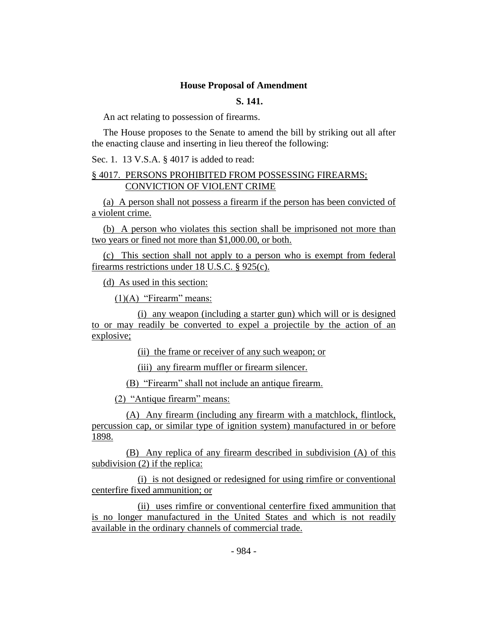#### **House Proposal of Amendment**

## **S. 141.**

An act relating to possession of firearms.

The House proposes to the Senate to amend the bill by striking out all after the enacting clause and inserting in lieu thereof the following:

Sec. 1. 13 V.S.A. § 4017 is added to read:

## § 4017. PERSONS PROHIBITED FROM POSSESSING FIREARMS; CONVICTION OF VIOLENT CRIME

(a) A person shall not possess a firearm if the person has been convicted of a violent crime.

(b) A person who violates this section shall be imprisoned not more than two years or fined not more than \$1,000.00, or both.

(c) This section shall not apply to a person who is exempt from federal firearms restrictions under 18 U.S.C. § 925(c).

(d) As used in this section:

 $(1)(A)$  "Firearm" means:

(i) any weapon (including a starter gun) which will or is designed to or may readily be converted to expel a projectile by the action of an explosive;

(ii) the frame or receiver of any such weapon; or

(iii) any firearm muffler or firearm silencer.

(B) "Firearm" shall not include an antique firearm.

(2) "Antique firearm" means:

(A) Any firearm (including any firearm with a matchlock, flintlock, percussion cap, or similar type of ignition system) manufactured in or before 1898.

(B) Any replica of any firearm described in subdivision (A) of this subdivision (2) if the replica:

(i) is not designed or redesigned for using rimfire or conventional centerfire fixed ammunition; or

(ii) uses rimfire or conventional centerfire fixed ammunition that is no longer manufactured in the United States and which is not readily available in the ordinary channels of commercial trade.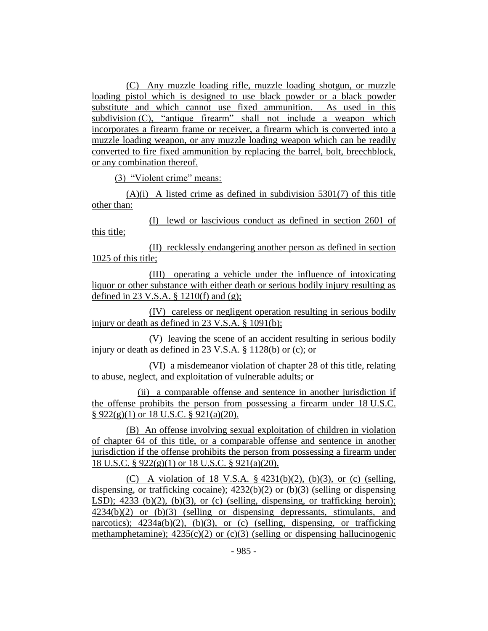(C) Any muzzle loading rifle, muzzle loading shotgun, or muzzle loading pistol which is designed to use black powder or a black powder substitute and which cannot use fixed ammunition. As used in this subdivision (C), "antique firearm" shall not include a weapon which incorporates a firearm frame or receiver, a firearm which is converted into a muzzle loading weapon, or any muzzle loading weapon which can be readily converted to fire fixed ammunition by replacing the barrel, bolt, breechblock, or any combination thereof.

(3) "Violent crime" means:

 $(A)(i)$  A listed crime as defined in subdivision 5301(7) of this title other than:

(I) lewd or lascivious conduct as defined in section 2601 of this title;

(II) recklessly endangering another person as defined in section 1025 of this title;

(III) operating a vehicle under the influence of intoxicating liquor or other substance with either death or serious bodily injury resulting as defined in 23 V.S.A. § 1210(f) and (g);

(IV) careless or negligent operation resulting in serious bodily injury or death as defined in 23 V.S.A. § 1091(b);

(V) leaving the scene of an accident resulting in serious bodily injury or death as defined in 23 V.S.A. § 1128(b) or (c); or

(VI) a misdemeanor violation of chapter 28 of this title, relating to abuse, neglect, and exploitation of vulnerable adults; or

(ii) a comparable offense and sentence in another jurisdiction if the offense prohibits the person from possessing a firearm under 18 U.S.C.  $§ 922(g)(1)$  or 18 U.S.C. § 921(a)(20).

(B) An offense involving sexual exploitation of children in violation of chapter 64 of this title, or a comparable offense and sentence in another jurisdiction if the offense prohibits the person from possessing a firearm under 18 U.S.C. § 922(g)(1) or 18 U.S.C. § 921(a)(20).

(C) A violation of 18 V.S.A.  $\S$  4231(b)(2), (b)(3), or (c) (selling, dispensing, or trafficking cocaine);  $4232(b)(2)$  or  $(b)(3)$  (selling or dispensing LSD);  $4233$  (b)(2), (b)(3), or (c) (selling, dispensing, or trafficking heroin); 4234(b)(2) or (b)(3) (selling or dispensing depressants, stimulants, and narcotics);  $4234a(b)(2)$ ,  $(b)(3)$ , or (c) (selling, dispensing, or trafficking methamphetamine);  $4235(c)(2)$  or (c)(3) (selling or dispensing hallucinogenic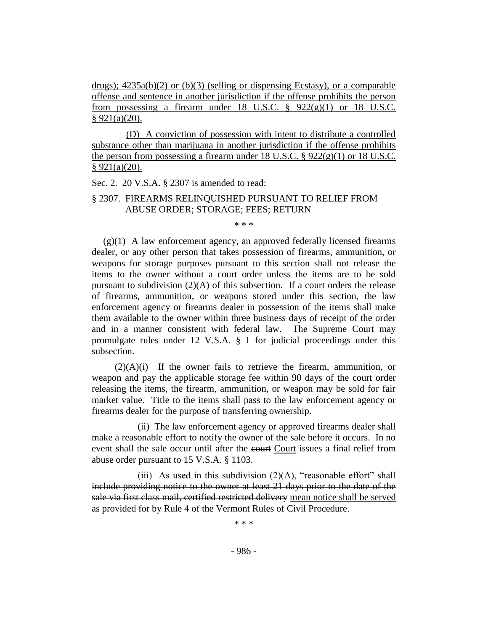drugs);  $4235a(b)(2)$  or (b)(3) (selling or dispensing Ecstasy), or a comparable offense and sentence in another jurisdiction if the offense prohibits the person from possessing a firearm under 18 U.S.C.  $\S$  922(g)(1) or 18 U.S.C.  $§ 921(a)(20).$ 

(D) A conviction of possession with intent to distribute a controlled substance other than marijuana in another jurisdiction if the offense prohibits the person from possessing a firearm under 18 U.S.C. § 922(g)(1) or 18 U.S.C.  $§ 921(a)(20).$ 

Sec. 2. 20 V.S.A. § 2307 is amended to read:

## § 2307. FIREARMS RELINQUISHED PURSUANT TO RELIEF FROM ABUSE ORDER; STORAGE; FEES; RETURN

\* \* \*

 $(g)(1)$  A law enforcement agency, an approved federally licensed firearms dealer, or any other person that takes possession of firearms, ammunition, or weapons for storage purposes pursuant to this section shall not release the items to the owner without a court order unless the items are to be sold pursuant to subdivision  $(2)(A)$  of this subsection. If a court orders the release of firearms, ammunition, or weapons stored under this section, the law enforcement agency or firearms dealer in possession of the items shall make them available to the owner within three business days of receipt of the order and in a manner consistent with federal law. The Supreme Court may promulgate rules under 12 V.S.A. § 1 for judicial proceedings under this subsection.

 $(2)(A)(i)$  If the owner fails to retrieve the firearm, ammunition, or weapon and pay the applicable storage fee within 90 days of the court order releasing the items, the firearm, ammunition, or weapon may be sold for fair market value. Title to the items shall pass to the law enforcement agency or firearms dealer for the purpose of transferring ownership.

(ii) The law enforcement agency or approved firearms dealer shall make a reasonable effort to notify the owner of the sale before it occurs. In no event shall the sale occur until after the court Court issues a final relief from abuse order pursuant to 15 V.S.A. § 1103.

(iii) As used in this subdivision  $(2)(A)$ , "reasonable effort" shall include providing notice to the owner at least 21 days prior to the date of the sale via first class mail, certified restricted delivery mean notice shall be served as provided for by Rule 4 of the Vermont Rules of Civil Procedure.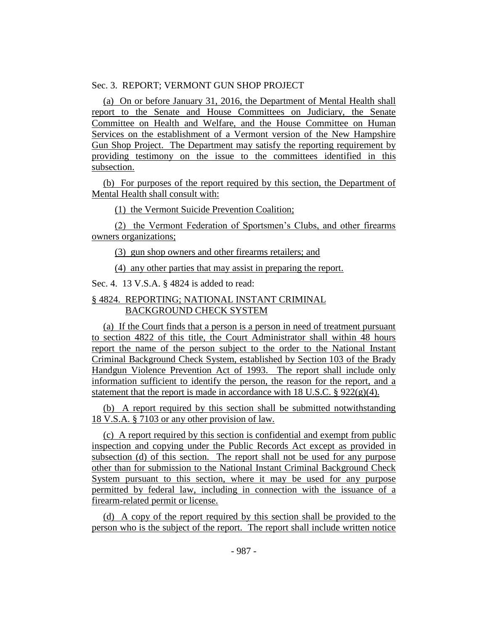#### Sec. 3. REPORT; VERMONT GUN SHOP PROJECT

(a) On or before January 31, 2016, the Department of Mental Health shall report to the Senate and House Committees on Judiciary, the Senate Committee on Health and Welfare, and the House Committee on Human Services on the establishment of a Vermont version of the New Hampshire Gun Shop Project. The Department may satisfy the reporting requirement by providing testimony on the issue to the committees identified in this subsection.

(b) For purposes of the report required by this section, the Department of Mental Health shall consult with:

(1) the Vermont Suicide Prevention Coalition;

(2) the Vermont Federation of Sportsmen's Clubs, and other firearms owners organizations;

(3) gun shop owners and other firearms retailers; and

(4) any other parties that may assist in preparing the report.

Sec. 4. 13 V.S.A. § 4824 is added to read:

## § 4824. REPORTING; NATIONAL INSTANT CRIMINAL BACKGROUND CHECK SYSTEM

(a) If the Court finds that a person is a person in need of treatment pursuant to section 4822 of this title, the Court Administrator shall within 48 hours report the name of the person subject to the order to the National Instant Criminal Background Check System, established by Section 103 of the Brady Handgun Violence Prevention Act of 1993. The report shall include only information sufficient to identify the person, the reason for the report, and a statement that the report is made in accordance with 18 U.S.C.  $\S 922(g)(4)$ .

(b) A report required by this section shall be submitted notwithstanding 18 V.S.A. § 7103 or any other provision of law.

(c) A report required by this section is confidential and exempt from public inspection and copying under the Public Records Act except as provided in subsection (d) of this section. The report shall not be used for any purpose other than for submission to the National Instant Criminal Background Check System pursuant to this section, where it may be used for any purpose permitted by federal law, including in connection with the issuance of a firearm-related permit or license.

(d) A copy of the report required by this section shall be provided to the person who is the subject of the report. The report shall include written notice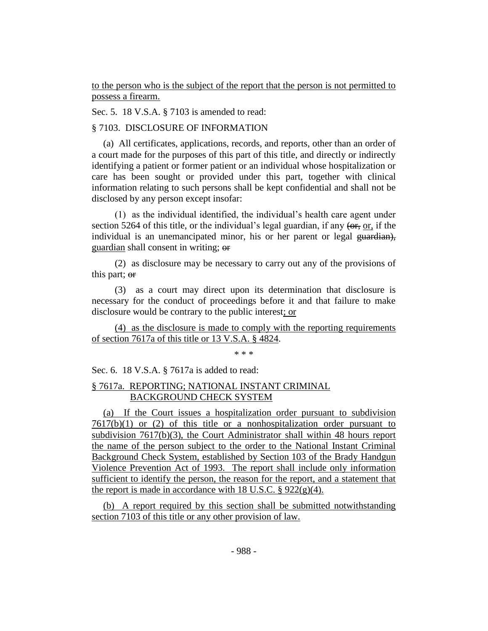to the person who is the subject of the report that the person is not permitted to possess a firearm.

Sec. 5. 18 V.S.A. § 7103 is amended to read:

## § 7103. DISCLOSURE OF INFORMATION

(a) All certificates, applications, records, and reports, other than an order of a court made for the purposes of this part of this title, and directly or indirectly identifying a patient or former patient or an individual whose hospitalization or care has been sought or provided under this part, together with clinical information relating to such persons shall be kept confidential and shall not be disclosed by any person except insofar:

(1) as the individual identified, the individual's health care agent under section 5264 of this title, or the individual's legal guardian, if any  $(0.67, 0.07)$  if the individual is an unemancipated minor, his or her parent or legal guardian), guardian shall consent in writing; or

(2) as disclosure may be necessary to carry out any of the provisions of this part; or

(3) as a court may direct upon its determination that disclosure is necessary for the conduct of proceedings before it and that failure to make disclosure would be contrary to the public interest; or

(4) as the disclosure is made to comply with the reporting requirements of section 7617a of this title or 13 V.S.A. § 4824.

\* \* \*

Sec. 6. 18 V.S.A. § 7617a is added to read:

## § 7617a. REPORTING; NATIONAL INSTANT CRIMINAL BACKGROUND CHECK SYSTEM

(a) If the Court issues a hospitalization order pursuant to subdivision  $7617(b)(1)$  or (2) of this title or a nonhospitalization order pursuant to subdivision 7617(b)(3), the Court Administrator shall within 48 hours report the name of the person subject to the order to the National Instant Criminal Background Check System, established by Section 103 of the Brady Handgun Violence Prevention Act of 1993. The report shall include only information sufficient to identify the person, the reason for the report, and a statement that the report is made in accordance with 18 U.S.C.  $\S 922(g)(4)$ .

(b) A report required by this section shall be submitted notwithstanding section 7103 of this title or any other provision of law.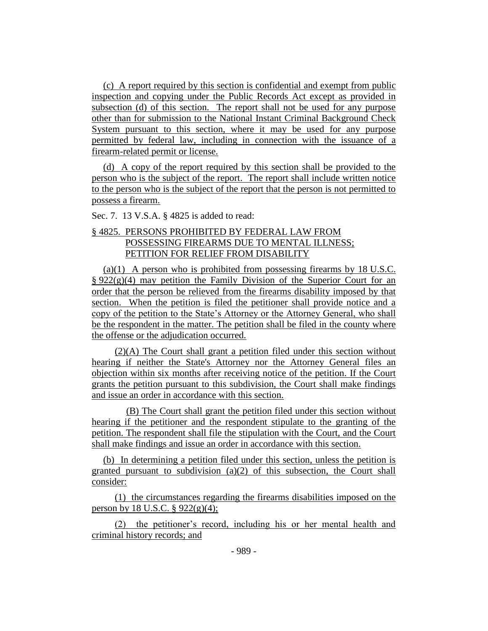(c) A report required by this section is confidential and exempt from public inspection and copying under the Public Records Act except as provided in subsection (d) of this section. The report shall not be used for any purpose other than for submission to the National Instant Criminal Background Check System pursuant to this section, where it may be used for any purpose permitted by federal law, including in connection with the issuance of a firearm-related permit or license.

(d) A copy of the report required by this section shall be provided to the person who is the subject of the report. The report shall include written notice to the person who is the subject of the report that the person is not permitted to possess a firearm.

Sec. 7. 13 V.S.A. § 4825 is added to read:

## § 4825. PERSONS PROHIBITED BY FEDERAL LAW FROM POSSESSING FIREARMS DUE TO MENTAL ILLNESS; PETITION FOR RELIEF FROM DISABILITY

(a)(1) A person who is prohibited from possessing firearms by 18 U.S.C.  $\S 922(g)(4)$  may petition the Family Division of the Superior Court for an order that the person be relieved from the firearms disability imposed by that section. When the petition is filed the petitioner shall provide notice and a copy of the petition to the State's Attorney or the Attorney General, who shall be the respondent in the matter. The petition shall be filed in the county where the offense or the adjudication occurred.

(2)(A) The Court shall grant a petition filed under this section without hearing if neither the State's Attorney nor the Attorney General files an objection within six months after receiving notice of the petition. If the Court grants the petition pursuant to this subdivision, the Court shall make findings and issue an order in accordance with this section.

(B) The Court shall grant the petition filed under this section without hearing if the petitioner and the respondent stipulate to the granting of the petition. The respondent shall file the stipulation with the Court, and the Court shall make findings and issue an order in accordance with this section.

(b) In determining a petition filed under this section, unless the petition is granted pursuant to subdivision (a)(2) of this subsection, the Court shall consider:

(1) the circumstances regarding the firearms disabilities imposed on the person by 18 U.S.C.  $\S 922(g)(4)$ ;

(2) the petitioner's record, including his or her mental health and criminal history records; and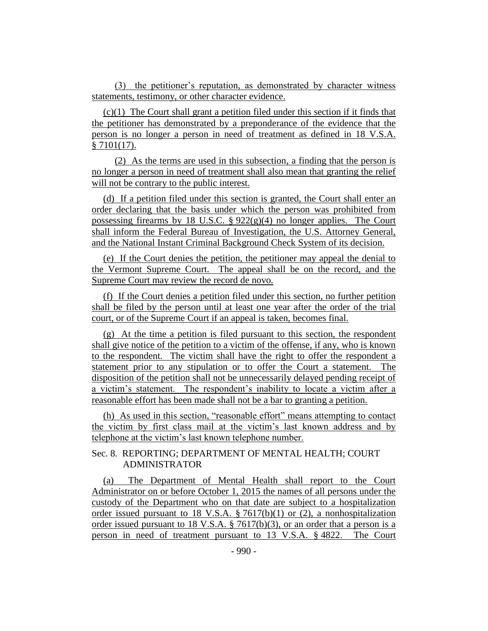(3) the petitioner's reputation, as demonstrated by character witness statements, testimony, or other character evidence.

(c)(1) The Court shall grant a petition filed under this section if it finds that the petitioner has demonstrated by a preponderance of the evidence that the person is no longer a person in need of treatment as defined in 18 V.S.A. § 7101(17).

(2) As the terms are used in this subsection, a finding that the person is no longer a person in need of treatment shall also mean that granting the relief will not be contrary to the public interest.

(d) If a petition filed under this section is granted, the Court shall enter an order declaring that the basis under which the person was prohibited from possessing firearms by 18 U.S.C. §  $922(g)(4)$  no longer applies. The Court shall inform the Federal Bureau of Investigation, the U.S. Attorney General, and the National Instant Criminal Background Check System of its decision.

(e) If the Court denies the petition, the petitioner may appeal the denial to the Vermont Supreme Court. The appeal shall be on the record, and the Supreme Court may review the record de novo.

(f) If the Court denies a petition filed under this section, no further petition shall be filed by the person until at least one year after the order of the trial court, or of the Supreme Court if an appeal is taken, becomes final.

(g) At the time a petition is filed pursuant to this section, the respondent shall give notice of the petition to a victim of the offense, if any, who is known to the respondent. The victim shall have the right to offer the respondent a statement prior to any stipulation or to offer the Court a statement. The disposition of the petition shall not be unnecessarily delayed pending receipt of a victim's statement. The respondent's inability to locate a victim after a reasonable effort has been made shall not be a bar to granting a petition.

(h) As used in this section, "reasonable effort" means attempting to contact the victim by first class mail at the victim's last known address and by telephone at the victim's last known telephone number.

## Sec. 8. REPORTING; DEPARTMENT OF MENTAL HEALTH; COURT ADMINISTRATOR

(a) The Department of Mental Health shall report to the Court Administrator on or before October 1, 2015 the names of all persons under the custody of the Department who on that date are subject to a hospitalization order issued pursuant to 18 V.S.A. § 7617(b)(1) or (2), a nonhospitalization order issued pursuant to 18 V.S.A. § 7617(b)(3), or an order that a person is a person in need of treatment pursuant to 13 V.S.A. § 4822. The Court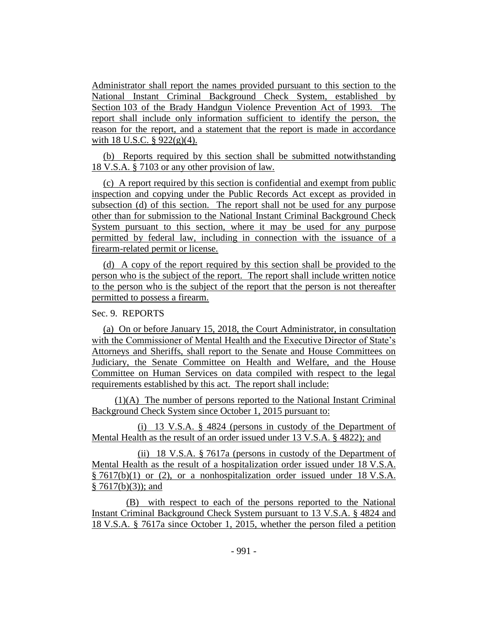Administrator shall report the names provided pursuant to this section to the National Instant Criminal Background Check System, established by Section 103 of the Brady Handgun Violence Prevention Act of 1993. The report shall include only information sufficient to identify the person, the reason for the report, and a statement that the report is made in accordance with 18 U.S.C.  $\S$  922(g)(4).

(b) Reports required by this section shall be submitted notwithstanding 18 V.S.A. § 7103 or any other provision of law.

(c) A report required by this section is confidential and exempt from public inspection and copying under the Public Records Act except as provided in subsection (d) of this section. The report shall not be used for any purpose other than for submission to the National Instant Criminal Background Check System pursuant to this section, where it may be used for any purpose permitted by federal law, including in connection with the issuance of a firearm-related permit or license.

(d) A copy of the report required by this section shall be provided to the person who is the subject of the report. The report shall include written notice to the person who is the subject of the report that the person is not thereafter permitted to possess a firearm.

#### Sec. 9. REPORTS

(a) On or before January 15, 2018, the Court Administrator, in consultation with the Commissioner of Mental Health and the Executive Director of State's Attorneys and Sheriffs, shall report to the Senate and House Committees on Judiciary, the Senate Committee on Health and Welfare, and the House Committee on Human Services on data compiled with respect to the legal requirements established by this act. The report shall include:

(1)(A) The number of persons reported to the National Instant Criminal Background Check System since October 1, 2015 pursuant to:

(i) 13 V.S.A. § 4824 (persons in custody of the Department of Mental Health as the result of an order issued under 13 V.S.A. § 4822); and

(ii) 18 V.S.A. § 7617a (persons in custody of the Department of Mental Health as the result of a hospitalization order issued under 18 V.S.A. § 7617(b)(1) or (2), or a nonhospitalization order issued under 18 V.S.A.  $§ 7617(b)(3)$ ; and

(B) with respect to each of the persons reported to the National Instant Criminal Background Check System pursuant to 13 V.S.A. § 4824 and 18 V.S.A. § 7617a since October 1, 2015, whether the person filed a petition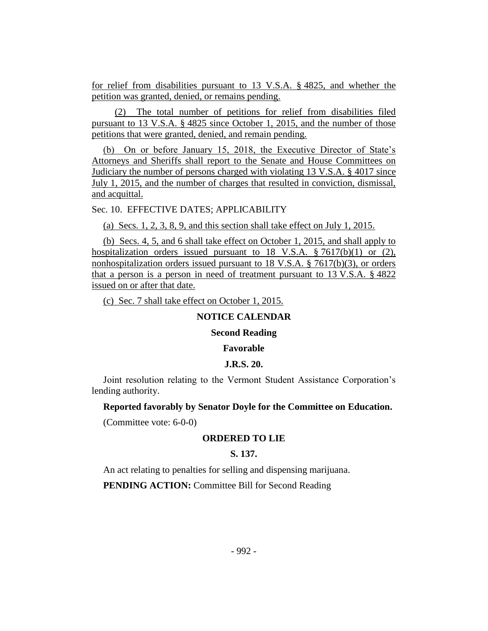for relief from disabilities pursuant to 13 V.S.A. § 4825, and whether the petition was granted, denied, or remains pending.

(2) The total number of petitions for relief from disabilities filed pursuant to 13 V.S.A. § 4825 since October 1, 2015, and the number of those petitions that were granted, denied, and remain pending.

(b) On or before January 15, 2018, the Executive Director of State's Attorneys and Sheriffs shall report to the Senate and House Committees on Judiciary the number of persons charged with violating 13 V.S.A. § 4017 since July 1, 2015, and the number of charges that resulted in conviction, dismissal, and acquittal.

Sec. 10. EFFECTIVE DATES; APPLICABILITY

(a) Secs. 1, 2, 3, 8, 9, and this section shall take effect on July 1, 2015.

(b) Secs. 4, 5, and 6 shall take effect on October 1, 2015, and shall apply to hospitalization orders issued pursuant to 18 V.S.A. § 7617(b)(1) or (2), nonhospitalization orders issued pursuant to 18 V.S.A. § 7617(b)(3), or orders that a person is a person in need of treatment pursuant to 13 V.S.A. § 4822 issued on or after that date.

(c) Sec. 7 shall take effect on October 1, 2015.

# **NOTICE CALENDAR**

## **Second Reading**

## **Favorable**

#### **J.R.S. 20.**

Joint resolution relating to the Vermont Student Assistance Corporation's lending authority.

#### **Reported favorably by Senator Doyle for the Committee on Education.**

(Committee vote: 6-0-0)

## **ORDERED TO LIE**

## **S. 137.**

An act relating to penalties for selling and dispensing marijuana.

**PENDING ACTION:** Committee Bill for Second Reading